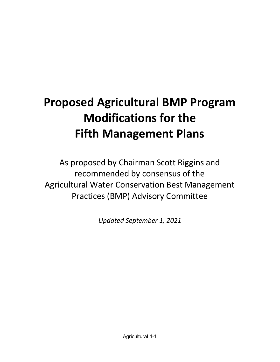# Proposed Agricultural BMP Program Modifications for the Fifth Management Plans

As proposed by Chairman Scott Riggins and recommended by consensus of the Agricultural Water Conservation Best Management Practices (BMP) Advisory Committee

Updated September 1, 2021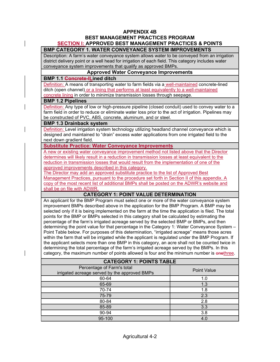# APPENDIX 4B BEST MANAGEMENT PRACTICES PROGRAM SECTION I: APPROVED BEST MANAGEMENT PRACTICES & POINTS

# BMP CATEGORY 1. WATER CONVEYANCE SYSTEM IMPROVEMENTS

Description: A farm's water conveyance system allows water to be conveyed from an irrigation district delivery point or a well head for irrigation of each field. This category includes water conveyance system improvements that qualify as approved BMPs.

## Approved Water Conveyance Improvements

#### BMP 1.1 Concrete-lLined ditch

Definition: A means of transporting water to farm fields via a well-maintained concrete-lined ditch (open channel) or a lining that performs at least equivalently to a well-maintained concrete lining in order to minimize transmission losses through seepage.

## BMP 1.2 Pipelines

Definition: Any type of low or high-pressure pipeline (closed conduit) used to convey water to a farm field in order to reduce or eliminate water loss prior to the act of irrigation. Pipelines may be constructed of PVC, ABS, concrete, aluminum, and or steel.

## BMP 1.3 Drainback system

Definition: Level irrigation system technology utilizing headland channel conveyance which is designed and maintained to "drain" excess water applications from one irrigated field to the next down gradient field.

## Substitute Practice: Water Conveyance Improvements

A new or existing water conveyance improvement method not listed above that the Director determines will likely result in a reduction in transmission losses at least equivalent to the reduction in transmission losses that would result from the implementation of one of the approved improvements described in this category.

The Director may add an approved substitute practice to the list of Approved Best Management Practices, pursuant to the procedure set forth in Section II of this appendix. A copy of the most recent list of additional BMPs shall be posted on the ADWR's website and shall be on file with ADWR.

# CATEGORY 1: POINT VALUE DETERMINATION

An applicant for the BMP Program must select one or more of the water conveyance system improvement BMPs described above in the application for the BMP Program. A BMP may be selected only if it is being implemented on the farm at the time the application is filed. The total points for the BMP or BMPs selected in this category shall be calculated by estimating the percentage of the farm's irrigated acreage served by the selected BMP or BMPs, and then determining the point value for that percentage in the Category 1: Water Conveyance System – Point Table below. For purposes of this determination, "irrigated acreage" means those acres within the farm that will be irrigated while the applicant is regulated under the BMP Program. If the applicant selects more than one BMP in this category, an acre shall not be counted twice in determining the total percentage of the farm's irrigated acreage served by the BMPs. In this category, the maximum number of points allowed is four and the minimum number is onethree.

| <b>CATEGORY 1: POINTS TABLE</b>                                             |                    |
|-----------------------------------------------------------------------------|--------------------|
| Percentage of Farm's total<br>irrigated acreage served by the approved BMPs | <b>Point Value</b> |
| 60-64                                                                       | 1.0                |
| 65-69                                                                       | 1.3                |
| 70-74                                                                       | 1.8                |
| 75-79                                                                       | 2.3                |
| 80-84                                                                       | 2.8                |
| 85-89                                                                       | 3.3                |
| 90-94                                                                       | 3.8                |
| 95-100                                                                      | 4.0                |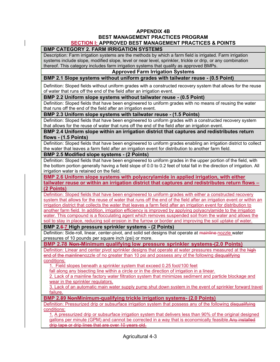# APPENDIX 4B BEST MANAGEMENT PRACTICES PROGRAM SECTION I: APPROVED BEST MANAGEMENT PRACTICES & POINTS

# BMP CATEGORY 2. FARM IRRIGATION SYSTEMS

Description: Farm irrigation systems are the methods by which a farm field is irrigated. Farm irrigation systems include slope, modified slope, level or near level, sprinkler, trickle or drip, or any combination thereof. This category includes farm irrigation systems that qualify as approved BMPs.

#### Approved Farm Irrigation Systems

## BMP 2.1 Slope systems without uniform grades with tailwater reuse - (0.5 Point)

Definition: Sloped fields without uniform grades with a constructed recovery system that allows for the reuse of water that runs off the end of the field after an irrigation event.

#### BMP 2.2 Uniform slope systems without tailwater reuse - (0.5 Point)

Definition: Sloped fields that have been engineered to uniform grades with no means of reusing the water that runs off the end of the field after an irrigation event.

#### BMP 2.3 Uniform slope systems with tailwater reuse - (1.5 Points)

Definition: Sloped fields that have been engineered to uniform grades with a constructed recovery system that allows for the reuse of water that runs off the end of the field after an irrigation event.

#### BMP 2.4 Uniform slope within an irrigation district that captures and redistributes return flows - (1.5 Points)

Definition: Sloped fields that have been engineered to uniform grades enabling an irrigation district to collect the water that leaves a farm field after an irrigation event for distribution to another farm field.

## BMP 2.5 Modified slope systems - (2 Points)

Definition: Sloped fields that have been engineered to uniform grades in the upper portion of the field, with the bottom portion generally having a field slope of 0.0 to 0.2 feet of total fall in the direction of irrigation. All irrigation water is retained on the field.

BMP 2.6 Uniform slope systems with polyacrylamide in applied irrigation, with either tailwater reuse or within an irrigation district that captures and redistributes return flows – (2 Points)

Definition: Sloped fields that have been engineered to uniform grades with either a constructed recovery system that allows for the reuse of water that runs off the end of the field after an irrigation event or within an irrigation district that collects the water that leaves a farm field after an irrigation event for distribution to another farm field. In addition, irrigation efficiency is improved by applying polyacrylamide to the irrigation water. This compound is a flocculating agent which removes suspended soil from the water and allows the soil to stay in place, reducing soil erosion in the furrow or border and improving the soil uptake of water.

#### BMP 2.6-7 High pressure sprinkler systems - (2 Points)

Definition: Side-roll, linear, center-pivot, and solid set designs that operate at mainline-nozzle water pressures of 10 pounds per square inch (psi) or more.

#### BMP 2.78 Non-Minimum qualifying low pressure sprinkler systems-(2.0 Points)

Definition: Linear and center pivot sprinkler designs that operate at water pressures measured at the high end of the mainlinenozzle of no greater than 10 psi and possess any of the following disqualifying conditions:

1. Field slopes beneath a sprinkler system that exceed 0.25 foot/100 feet

fall along any bisecting line within a circle or in the direction of irrigation in a linear.

2. Lack of a mainline factory water filtration system that minimizes sediment and particle blockage and wear in the sprinkler regulators.

3. Lack of an automatic main water supply pump shut down system in the event of sprinkler forward travel failure.

BMP 2.89 NonMinimum-qualifying trickle irrigation systems- (2.0 Points)

Definition: Pressurized drip or subsurface irrigation system that possess any of the following disqualifying conditions:

1. A pressurized drip or subsurface irrigation system that delivers less than 90% of the original designed gallons per minute (GPM) and cannot be corrected in a way that is economically feasible.Any installed drip tape or drip lines that are over 10 years old.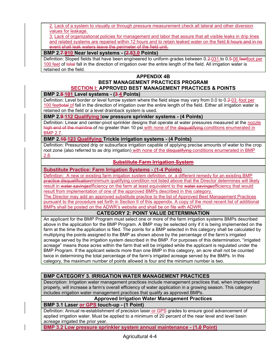2. Lack of a system to visually or through pressure measurement check all lateral and other diversion values for leakage.

3. Lack of organizational policies for management and labor that assure that all visible leaks in drip lines and related systems are repaired within 12 hours and to retain leaked water on the field.6 hours and in no event shall leak waters leave the perimeter of the field unit.

## BMP 2.7-910 Near level systems - (2.53.0 Points)

Definition: Sloped fields that have been engineered to uniform grades between 0.2-031 to 0.5-06 feetfoot per 100 feet of total fall in the direction of irrigation over the entire length of the field. All irrigation water is retained on the field.

## APPENDIX 4B BEST MANAGEMENT PRACTICES PROGRAM SECTION I: APPROVED BEST MANAGEMENT PRACTICES & POINTS

## BMP 2.8-101 Level systems - (3-4 Points)

Definition: Level border or level furrow system where the field slope may vary from 0.0 to 0.2–03 -foot per 100 feettotal of fall in the direction of irrigation over the entire length of the field. Either all irrigation water is retained on the field or a level drainback system is used.

## BMP 2.9 112 Qualifying low pressure sprinkler systems - (4 Points)

Definition: Linear and center-pivot sprinkler designs that operate at water pressures measured at the nozzle high end of the mainline of no greater than 10 psi with none of the disqualifying conditions enumerated in BMP 2.7.

## BMP 2.40-123 Qualifying Trickle irrigation systems - (4 Points)

Definition: Pressurized drip or subsurface irrigation capable of applying precise amounts of water to the crop root zone (also referred to as drip irrigation) with none of the disqualifying conditions enumerated in BMP 2.8.

## Substitute Farm Irrigation System

## Substitute Practice: Farm Irrigation Systems - (1-4 Points)

Definition: A new or existing farm irrigation system definition, or, a different remedy for an existing BMP practice disqualificationminimum qualifying condition not listed above that the Director determines will likely result in water savingsefficiency on the farm at least equivalent to the water savingsefficiency that would result from implementation of one of the approved BMPs described in this category. The Director may add an approved substitute practice to the list of Approved Best Management Practices pursuant to the procedure set forth in Section II of this appendix. A copy of the most recent list of additional BMPs shall be posted on the ADWR's website and shall be on file with ADWR.

# CATEGORY 2: POINT VALUE DETERMINATION

An applicant for the BMP Program must select one or more of the farm irrigation systems BMPs described above in the application for the BMP Program. A BMP may be selected only if it is being implemented on the farm at the time the application is filed. The points for a BMP selected in this category shall be calculated by multiplying the points assigned to the BMP as shown above by the percentage of the farm's irrigated acreage served by the irrigation system described in the BMP. For purposes of this determination, "irrigated acreage" means those acres within the farm that will be irrigated while the applicant is regulated under the BMP Program. If the applicant selects more than one BMP in this category, an acre shall not be counted twice in determining the total percentage of the farm's irrigated acreage served by the BMPs. In this category, the maximum number of points allowed is four and the minimum number is two.

## BMP CATEGORY 3. IRRIGATION WATER MANAGEMENT PRACTICES

Description: Irrigation water management practices include management practices that, when implemented properly, will increase a farm's overall efficiency of water application in a growing season. This category includes irrigation water management practices that qualify as approved BMPs.

# Approved Irrigation Water Management Practices

#### BMP 3.1 Laser or GPS touch-up - (1 Point)

Definition: Annual re-establishment of precision laser or GPS grades to ensure good advancement of applied irrigation water. Must be applied to a minimum of 20 percent of the near level and level basin acreage irrigated the prior year.

BMP 3.2 Low pressure sprinkler system annual maintenance - (1.0 Point)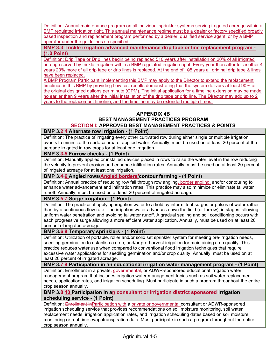Definition: Annual maintenance program on all individual sprinkler systems serving irrigated acreage within a BMP regulated irrigation right. This annual maintenance regime must be a dealer or factory specified broadly based inspection and replacement program performed by a dealer, qualified service agent, or by a BMP operator under the guidelines so specified.

BMP 3.3 Trickle irrigation advanced maintenance drip tape or line replacement program -  $(1.9$  Point)

Definition: Drip Tape or Drip lines begin being replaced 510 years after installation on 20% of all irrigated acreage served by trickle irrigation within a BMP regulated irrigation right. Every year thereafter for another 4 years 20% more of all drip tape or drip lines is replaced. At the end of 105 years all original drip tape & lines have been replaced.

A BMP Program Participant implementing this BMP may apply to the Director to extend the replacement timelines in this BMP by providing flow test results demonstrating that the system delivers at least 90% of the original designed gallons per minute (GPM). The initial application for a timeline extension may be made no earlier than 9 years after the initial installation of the drip tape or drip line. The Director may add up to 2 years to the replacement timeline, and the timeline may be extended multiple times.

## APPENDIX 4B BEST MANAGEMENT PRACTICES PROGRAM SECTION I: APPROVED BEST MANAGEMENT PRACTICES & POINTS

## BMP 3.2-4 Alternate row irrigation - (1 Point)

Definition: The practice of irrigating every other cultivated row during either single or multiple irrigation events to minimize the surface area of applied water. Annually, must be used on at least 20 percent of the acreage irrigated in row crops for at least one irrigation.

## BMP 3.3-5 Furrow checks - (1 Point)

Definition: Manually applied or installed devices placed in rows to raise the water level in the row reducing the velocity to prevent erosion and enhance infiltration rates. Annually, must be used on at least 20 percent of irrigated acreage for at least one irrigation.

# BMP 3.4 6 Angled rows/Angled borders/contour farming - (1 Point)

Definition: Annual practice of reducing row fall through row angling, border angling, and/or contouring to enhance water advancement and infiltration rates. This practice may also minimize or eliminate tailwater runoff. Annually, must be used on at least 20 percent of irrigated acreage.

## BMP 3.5-7 Surge irrigation - (1 Point)

Definition: The practice of applying irrigation water to a field by intermittent surges or pulses of water rather than by a continuous flow rate. The irrigation water advances down the field (or furrow), in stages, allowing uniform water penetration and avoiding tailwater runoff. A gradual sealing and soil conditioning occurs with each progressive surge allowing a more efficient water application. Annually, must be used on at least 20 percent of irrigated acreage.

## BMP 3.6-8 Temporary sprinklers - (1 Point)

Definition: Utilization of portable, roller and/or solid set sprinkler system for meeting pre-irrigation needs, seedling germination to establish a crop, and/or pre-harvest irrigation for maintaining crop quality. This practice reduces water use when compared to conventional flood irrigation techniques that require excessive water applications for seedling germination and/or crop quality. Annually, must be used on at least 20 percent of irrigated acreage.

#### BMP 3.7-9 Participation in an educational irrigation water management program - (1 Point)

Definition: Enrollment in a private, governmental, or ADWR-sponsored educational irrigation water management program that includes irrigation water management topics such as soil water replacement needs, application rates, and irrigation scheduling. Must participate in such a program throughout the entire crop season annually.

#### BMP 3.8-10 Participation in an consultant or irrigation district sponsored-irrigation scheduling service - (1 Point)

Definition: Enrollment inParticipation with a private or governmental consultant or ADWR-sponsored irrigation scheduling service that provides recommendations on soil moisture monitoring, soil water replacement needs, irrigation application rates, and irrigation scheduling dates based on soil moisture monitoring or real-time evapotranspiration data. Must participate in such a program throughout the entire crop season annually.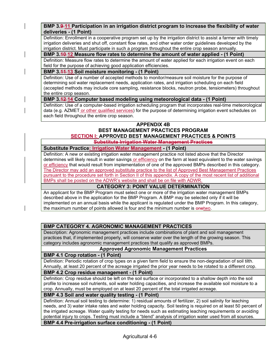BMP 3.9-11 Participation in an irrigation district program to increase the flexibility of water deliveries - (1 Point)

Definition: Enrollment in a cooperative program set up by the irrigation district to assist a farmer with timely irrigation deliveries and shut off, constant flow rates, and other water order guidelines developed by the irrigation district. Must participate in such a program throughout the entire crop season annually.

## BMP 3.40-12 Measure flow rates to determine the amount of water applied - (1 Point)

Definition: Measure flow rates to determine the amount of water applied for each irrigation event on each field for the purpose of achieving good application efficiencies.

## BMP 3 44-13 Soil moisture monitoring - (1 Point)

Definition: Use of a number of accepted methods to monitor/measure soil moisture for the purpose of determining soil water replacement needs, application rates, and irrigation scheduling on each field (accepted methods may include core sampling, resistance blocks, neutron probe, tensiometers) throughout the entire crop season.

## BMP 3.42-14 Computer based modeling using meteorological data - (1 Point)

Definition: Use of a computer-based irrigation scheduling program that incorporates real-time meteorological data (e.g. AZMET or other qualified services) for the purpose of determining irrigation event schedules on each field throughout the entire crop season.

#### APPENDIX 4B BEST MANAGEMENT PRACTICES PROGRAM SECTION I: APPROVED BEST MANAGEMENT PRACTICES & POINTS

# Substitute Irrigation Water Management Practices

Substitute Practice: Irrigation Water Management - (1 Point)

Definition: A new or existing irrigation water management practice not listed above that the Director determines will likely result in water savings or efficiency on the farm at least equivalent to the water savings or efficiency that would result from implementation of one of the approved BMPs described in this category. The Director may add an approved substitute practice to the list of Approved Best Management Practices pursuant to the procedure set forth in Section II of this appendix. A copy of the most recent list of additional BMPs shall be posted on the ADWR's website and shall be on file with ADWR.

## CATEGORY 3: POINT VALUE DETERMINATION

An applicant for the BMP Program must select one or more of the irrigation water management BMPs described above in the application for the BMP Program. A BMP may be selected only if it will be implemented on an annual basis while the applicant is regulated under the BMP Program. In this category, the maximum number of points allowed is four and the minimum number is enetwo.

## BMP CATEGORY 4. AGRONOMIC MANAGEMENT PRACTICES

Description: Agronomic management practices include combinations of plant and soil management practices that, if implemented properly, will conserve water over the length of the growing season. This category includes agronomic management practices that qualify as approved BMPs.

# Approved Agronomic Management Practices

#### BMP 4.1 Crop rotation - (1 Point)

Definition: Periodic rotation of crop types on a given farm field to ensure the non-degradation of soil tilth. Annually, at least 20 percent of the acreage irrigated the prior year needs to be rotated to a different crop.

## BMP 4.2 Crop residue management - (1 Point)

Definition: Crop residue should be left on the soil surface or incorporated to a shallow depth into the soil profile to increase soil nutrients, soil water holding capacities, and increase the available soil moisture to a crop. Annually, must be employed on at least 20 percent of the total irrigated acreage.

#### BMP 4.3 Soil and water quality testing - (1 Point)

Definition: Annual soil testing to determine: 1) residual amounts of fertilizer, 2) soil salinity for leaching needs, and 3) water intake rates and water holding capacity. Soil testing is required on at least 50 percent of the irrigated acreage. Water quality testing for needs such as estimating leaching requirements or avoiding potential injury to crops. Testing must include a "blend" analysis of irrigation water used from all sources.

BMP 4.4 Pre-irrigation surface conditioning - (1 Point)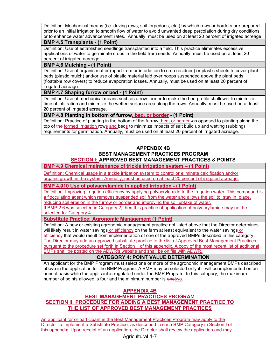Definition: Mechanical means (i.e. driving rows, soil torpedoes, etc.) by which rows or borders are prepared prior to an initial irrigation to smooth flow of water to avoid unwanted deep percolation during dry conditions or to enhance water advancement rates. Annually, must be used on at least 20 percent of irrigated acreage.

#### BMP 4.5 Transplants - (1 Point)

Definition: Use of established seedlings transplanted into a field. This practice eliminates excessive applications of water to germinate crops in the field from seeds. Annually, must be used on at least 20 percent of irrigated acreage.

## BMP 4.6 Mulching - (1 Point)

Definition: Use of organic matter (apart from or in addition to crop residues) or plastic sheets to cover plant beds (plastic mulch) and/or use of plastic material laid over hoops suspended above the plant beds (floatable row covers) to reduce evaporation losses. Annually, must be used on at least 20 percent of irrigated acreage.

## BMP 4.7 Shaping furrow or bed - (1 Point)

Definition: Use of mechanical means such as a row former to make the bed profile shallower to minimize time of infiltration and minimize the wetted surface area along the rows. Annually, must be used on at least 20 percent of irrigated acreage.

## BMP 4.8 Planting in bottom of furrow, bed, or border - (1 Point)

Definition: Practice of planting in the bottom of the furrow, bed, or border -as opposed to planting along the top of the formed irrigation rows and beds to minimize impacts of salt build up and wetting (subbing) requirements for germination. Annually, must be used on at least 20 percent of irrigated acreage.

## APPENDIX 4B

# BEST MANAGEMENT PRACTICES PROGRAM SECTION I: APPROVED BEST MANAGEMENT PRACTICES & POINTS

BMP 4.9 Chemical maintenance of trickle irrigation system – (1 Point)

Definition: Chemical usage in a trickle irrigation system to control or eliminate calcification and/or organic growth in the system. Annually, must be used on at least 20 percent of irrigated acreage.

## BMP 4.910 Use of polyacrylamide in applied irrigation - (1 Point)

Definition: Improving irrigation efficiency by applying polyacrylamide to the irrigation water. This compound is a flocculating agent which removes suspended soil from the water and allows the soil to stay in place, reducing soil erosion in the furrow or border and improving the soil uptake of water.

If BMP 2.6 was selected in Category 2, then this practice of application of polyacrylamide may not be selected for Category 4.

#### Substitute Practice: Agronomic Management (1 Point)

Definition: A new or existing agronomic management practice not listed above that the Director determines will likely result in water savings or efficiency on the farm at least equivalent to the water savings or efficiency that would result from implementation of one of the approved BMPs described in this category. The Director may add an approved substitute practice to the list of Approved Best Management Practices pursuant to the procedure set forth in Section II of this appendix. A copy of the most recent list of additional BMPs shall be posted on the ADWR's website and shall be on file with ADWR.

## CATEGORY 4: POINT VALUE DETERMINATION

An applicant for the BMP Program must select one or more of the agronomic management BMPs described above in the application for the BMP Program. A BMP may be selected only if it will be implemented on an annual basis while the applicant is regulated under the BMP Program. In this category, the maximum number of points allowed is four and the minimum number is enetwo.

## APPENDIX 4B

## BEST MANAGEMENT PRACTICES PROGRAM SECTION II: PROCEDURE FOR ADDING A BEST MANAGEMENT PRACTICE TO THE LIST OF APPROVED BEST MANAGEMENT PRACTICES

An applicant for or participant in the Best Management Practices Program may apply to the Director to implement a Substitute Practice, as described in each BMP Category in Section I of this appendix. Upon receipt of an application, the Director shall review the application and may